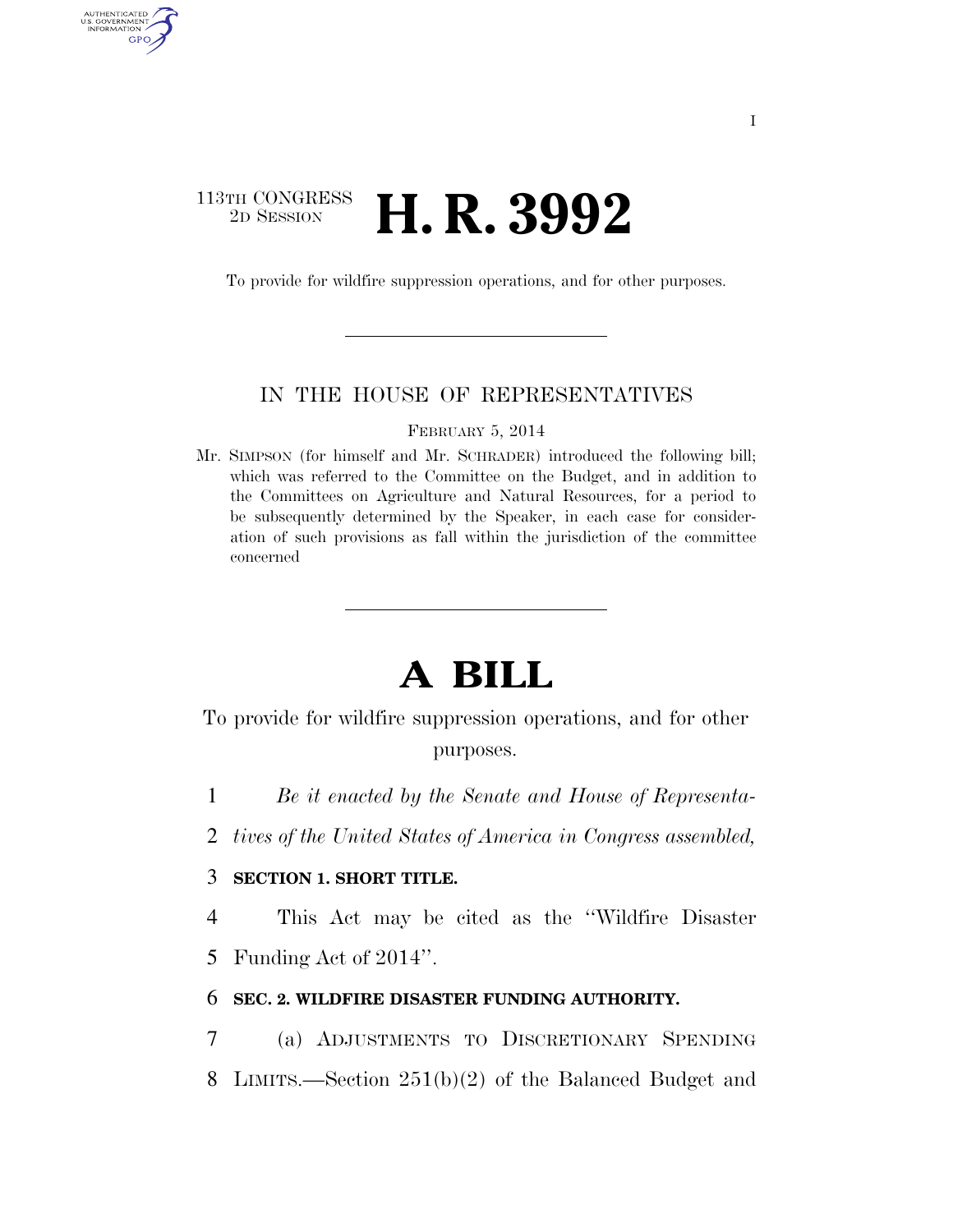## 113TH CONGRESS <sup>2D SESSION</sup> **H. R. 3992**

AUTHENTICATED U.S. GOVERNMENT GPO

To provide for wildfire suppression operations, and for other purposes.

### IN THE HOUSE OF REPRESENTATIVES

FEBRUARY 5, 2014

Mr. SIMPSON (for himself and Mr. SCHRADER) introduced the following bill; which was referred to the Committee on the Budget, and in addition to the Committees on Agriculture and Natural Resources, for a period to be subsequently determined by the Speaker, in each case for consideration of such provisions as fall within the jurisdiction of the committee concerned

# **A BILL**

To provide for wildfire suppression operations, and for other purposes.

1 *Be it enacted by the Senate and House of Representa-*

2 *tives of the United States of America in Congress assembled,* 

### 3 **SECTION 1. SHORT TITLE.**

4 This Act may be cited as the ''Wildfire Disaster

5 Funding Act of 2014''.

#### 6 **SEC. 2. WILDFIRE DISASTER FUNDING AUTHORITY.**

7 (a) ADJUSTMENTS TO DISCRETIONARY SPENDING 8 LIMITS.—Section 251(b)(2) of the Balanced Budget and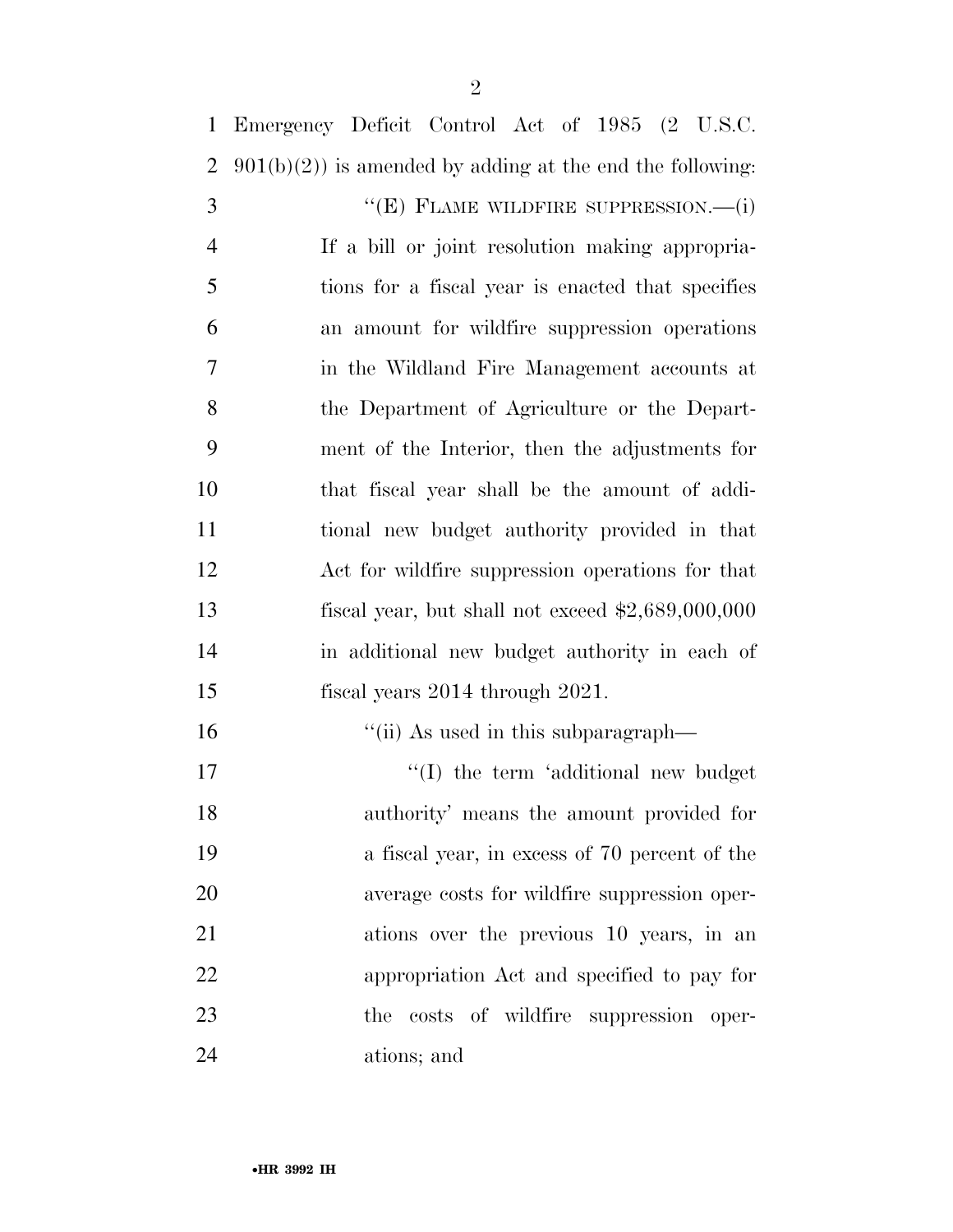Emergency Deficit Control Act of 1985 (2 U.S.C. 2  $901(b)(2)$  is amended by adding at the end the following:

3 "(E) FLAME WILDFIRE SUPPRESSION.—(i) If a bill or joint resolution making appropria- tions for a fiscal year is enacted that specifies an amount for wildfire suppression operations in the Wildland Fire Management accounts at the Department of Agriculture or the Depart- ment of the Interior, then the adjustments for that fiscal year shall be the amount of addi- tional new budget authority provided in that Act for wildfire suppression operations for that fiscal year, but shall not exceed \$2,689,000,000 in additional new budget authority in each of fiscal years 2014 through 2021.

16 ''(ii) As used in this subparagraph-

 $\cdot$  (I) the term 'additional new budget authority' means the amount provided for a fiscal year, in excess of 70 percent of the average costs for wildfire suppression oper- ations over the previous 10 years, in an appropriation Act and specified to pay for the costs of wildfire suppression oper-ations; and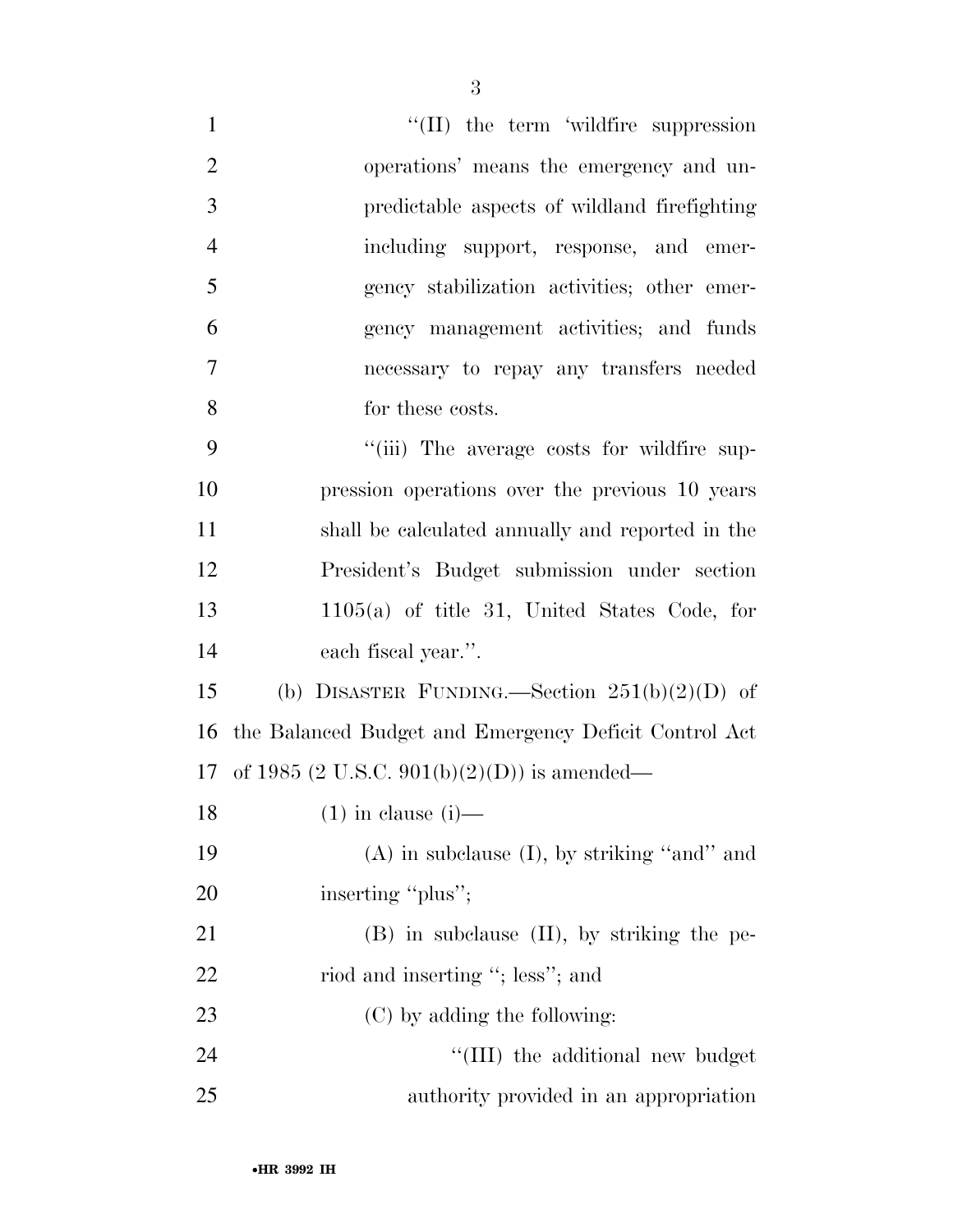| $\mathbf{1}$   | $\lq\lq$ (II) the term 'wildfire suppression          |
|----------------|-------------------------------------------------------|
| $\overline{2}$ | operations' means the emergency and un-               |
| 3              | predictable aspects of wildland firefighting          |
| $\overline{4}$ | including support, response, and emer-                |
| 5              | gency stabilization activities; other emer-           |
| 6              | gency management activities; and funds                |
| $\overline{7}$ | necessary to repay any transfers needed               |
| 8              | for these costs.                                      |
| 9              | "(iii) The average costs for wildfire sup-            |
| 10             | pression operations over the previous 10 years        |
| 11             | shall be calculated annually and reported in the      |
| 12             | President's Budget submission under section           |
| 13             | $1105(a)$ of title 31, United States Code, for        |
| 14             | each fiscal year.".                                   |
| 15             | (b) DISASTER FUNDING.—Section $251(b)(2)(D)$ of       |
| 16             | the Balanced Budget and Emergency Deficit Control Act |
|                | 17 of 1985 (2 U.S.C. 901(b)(2)(D)) is amended—        |
| 18             | $(1)$ in clause $(i)$ —                               |
| 19             | $(A)$ in subclause $(I)$ , by striking "and" and      |
| 20             | inserting "plus";                                     |
| 21             | $(B)$ in subclause $(II)$ , by striking the pe-       |
| 22             | riod and inserting "; less"; and                      |
| 23             | (C) by adding the following:                          |
| 24             | $``(III)$ the additional new budget                   |
| 25             | authority provided in an appropriation                |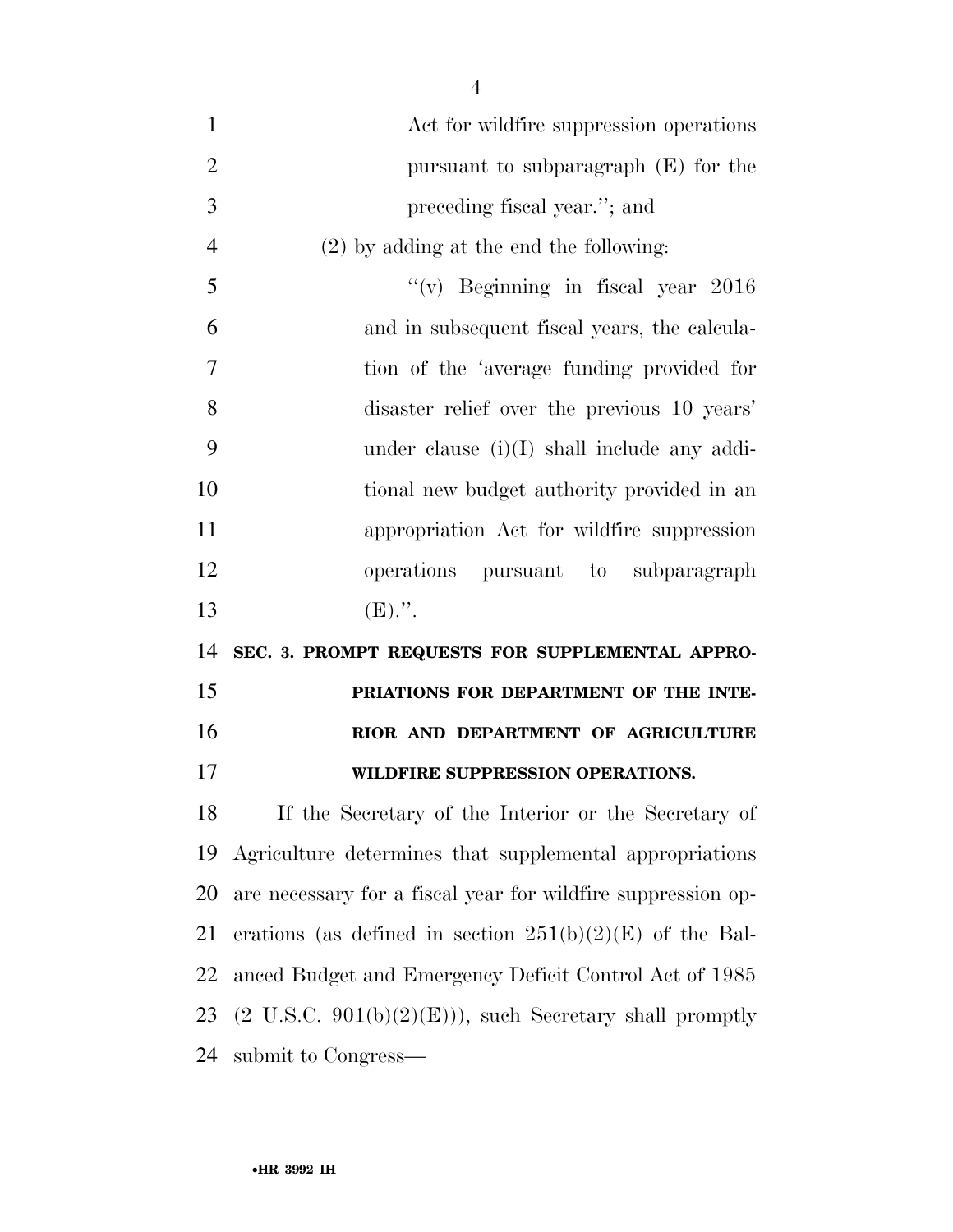| $\mathbf{1}$   | Act for wildfire suppression operations         |
|----------------|-------------------------------------------------|
| $\overline{2}$ | pursuant to subparagraph $(E)$ for the          |
| 3              | preceding fiscal year."; and                    |
| $\overline{4}$ | $(2)$ by adding at the end the following:       |
| 5              | "(v) Beginning in fiscal year $2016$            |
| 6              | and in subsequent fiscal years, the calcula-    |
| 7              | tion of the 'average funding provided for       |
| 8              | disaster relief over the previous 10 years'     |
| 9              | under clause $(i)(I)$ shall include any addi-   |
| 10             | tional new budget authority provided in an      |
| 11             | appropriation Act for wildfire suppression      |
| 12             | operations pursuant to subparagraph             |
| 13             | $(E)$ .".                                       |
| 14             | SEC. 3. PROMPT REQUESTS FOR SUPPLEMENTAL APPRO- |
| 15             | PRIATIONS FOR DEPARTMENT OF THE INTE-           |
| 16             | RIOR AND DEPARTMENT OF AGRICULTURE              |
| 17             | WILDFIRE SUPPRESSION OPERATIONS.                |

 If the Secretary of the Interior or the Secretary of Agriculture determines that supplemental appropriations are necessary for a fiscal year for wildfire suppression op-21 erations (as defined in section  $251(b)(2)(E)$  of the Bal- anced Budget and Emergency Deficit Control Act of 1985 23 (2 U.S.C.  $901(b)(2)(E))$ ), such Secretary shall promptly submit to Congress—